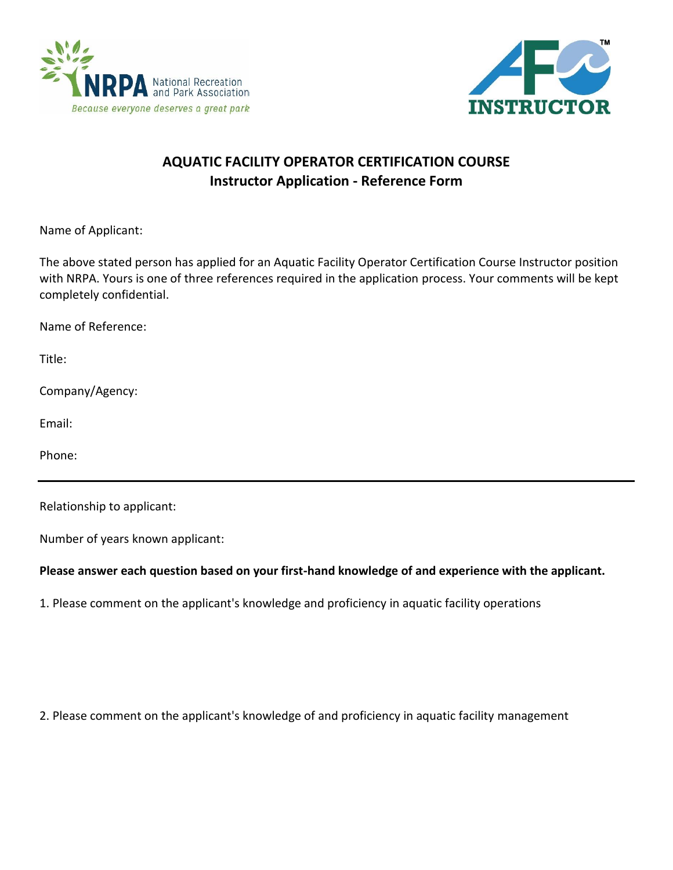



## **AQUATIC FACILITY OPERATOR CERTIFICATION COURSE Instructor Application - Reference Form**

Name of Applicant:

The above stated person has applied for an Aquatic Facility Operator Certification Course Instructor position with NRPA. Yours is one of three references required in the application process. Your comments will be kept completely confidential.

Name of Reference:

Title:

Company/Agency:

Email:

Phone:

Relationship to applicant:

Number of years known applicant:

## **Please answer each question based on your first-hand knowledge of and experience with the applicant.**

1. Please comment on the applicant's knowledge and proficiency in aquatic facility operations

2. Please comment on the applicant's knowledge of and proficiency in aquatic facility management